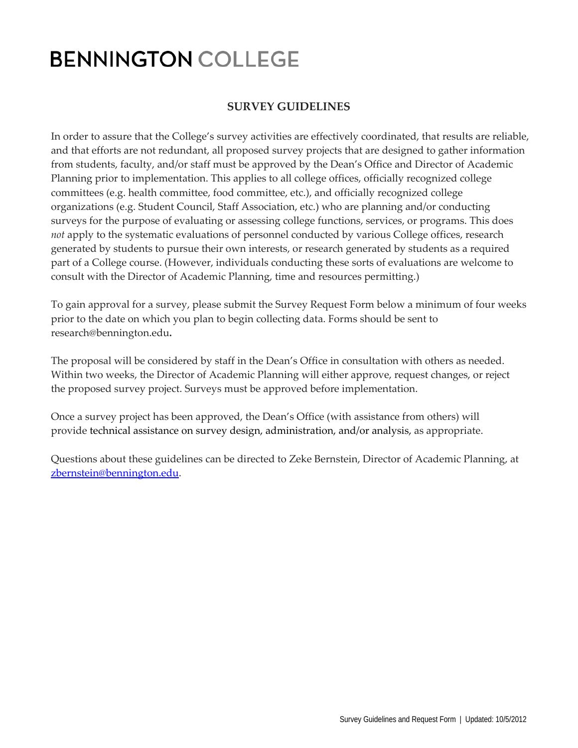## **BENNINGTON COLLEGE**

## **SURVEY GUIDELINES**

In order to assure that the College's survey activities are effectively coordinated, that results are reliable, and that efforts are not redundant, all proposed survey projects that are designed to gather information from students, faculty, and/or staff must be approved by the Dean's Office and Director of Academic Planning prior to implementation. This applies to all college offices, officially recognized college committees (e.g. health committee, food committee, etc.), and officially recognized college organizations (e.g. Student Council, Staff Association, etc.) who are planning and/or conducting surveys for the purpose of evaluating or assessing college functions, services, or programs. This does *not* apply to the systematic evaluations of personnel conducted by various College offices, research generated by students to pursue their own interests, or research generated by students as a required part of a College course. (However, individuals conducting these sorts of evaluations are welcome to consult with the Director of Academic Planning, time and resources permitting.)

To gain approval for a survey, please submit the Survey Request Form below a minimum of four weeks prior to the date on which you plan to begin collecting data. Forms should be sent to research@bennington.edu**.**

The proposal will be considered by staff in the Dean's Office in consultation with others as needed. Within two weeks, the Director of Academic Planning will either approve, request changes, or reject the proposed survey project. Surveys must be approved before implementation.

Once a survey project has been approved, the Dean's Office (with assistance from others) will provide technical assistance on survey design, administration, and/or analysis, as appropriate.

Questions about these guidelines can be directed to Zeke Bernstein, Director of Academic Planning, at [zbernstein@bennington.edu.](mailto:zbernstein@bennington.edu)